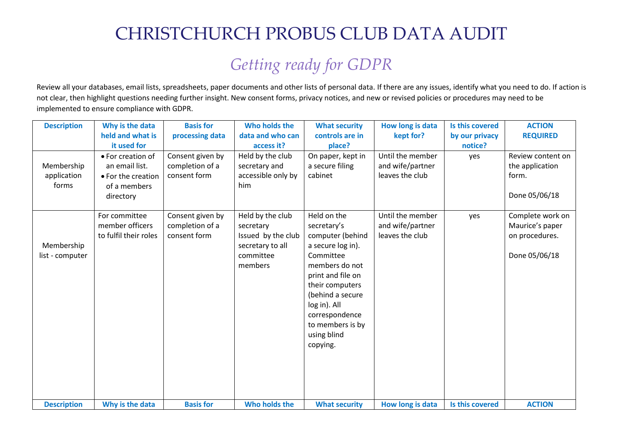## CHRISTCHURCH PROBUS CLUB DATA AUDIT

## *Getting ready for GDPR*

Review all your databases, email lists, spreadsheets, paper documents and other lists of personal data. If there are any issues, identify what you need to do. If action is not clear, then highlight questions needing further insight. New consent forms, privacy notices, and new or revised policies or procedures may need to be implemented to ensure compliance with GDPR.

| <b>Description</b> | Why is the data       | <b>Basis for</b> | Who holds the      | <b>What security</b> | How long is data | Is this covered | <b>ACTION</b>     |
|--------------------|-----------------------|------------------|--------------------|----------------------|------------------|-----------------|-------------------|
|                    | held and what is      | processing data  | data and who can   | controls are in      | kept for?        | by our privacy  | <b>REQUIRED</b>   |
|                    | it used for           |                  | access it?         | place?               |                  | notice?         |                   |
|                    | • For creation of     | Consent given by | Held by the club   | On paper, kept in    | Until the member | yes             | Review content on |
| Membership         | an email list.        | completion of a  | secretary and      | a secure filing      | and wife/partner |                 | the application   |
| application        | • For the creation    | consent form     | accessible only by | cabinet              | leaves the club  |                 | form.             |
| forms              | of a members          |                  | him                |                      |                  |                 |                   |
|                    | directory             |                  |                    |                      |                  |                 | Done 05/06/18     |
|                    |                       |                  |                    |                      |                  |                 |                   |
|                    | For committee         | Consent given by | Held by the club   | Held on the          | Until the member | yes             | Complete work on  |
|                    | member officers       | completion of a  | secretary          | secretary's          | and wife/partner |                 | Maurice's paper   |
|                    | to fulfil their roles | consent form     | Issued by the club | computer (behind     | leaves the club  |                 | on procedures.    |
| Membership         |                       |                  | secretary to all   | a secure log in).    |                  |                 |                   |
| list - computer    |                       |                  | committee          | Committee            |                  |                 | Done 05/06/18     |
|                    |                       |                  | members            | members do not       |                  |                 |                   |
|                    |                       |                  |                    | print and file on    |                  |                 |                   |
|                    |                       |                  |                    | their computers      |                  |                 |                   |
|                    |                       |                  |                    | (behind a secure     |                  |                 |                   |
|                    |                       |                  |                    | log in). All         |                  |                 |                   |
|                    |                       |                  |                    | correspondence       |                  |                 |                   |
|                    |                       |                  |                    | to members is by     |                  |                 |                   |
|                    |                       |                  |                    | using blind          |                  |                 |                   |
|                    |                       |                  |                    | copying.             |                  |                 |                   |
|                    |                       |                  |                    |                      |                  |                 |                   |
|                    |                       |                  |                    |                      |                  |                 |                   |
|                    |                       |                  |                    |                      |                  |                 |                   |
|                    |                       |                  |                    |                      |                  |                 |                   |
| <b>Description</b> | Why is the data       | <b>Basis for</b> | Who holds the      | <b>What security</b> | How long is data | Is this covered | <b>ACTION</b>     |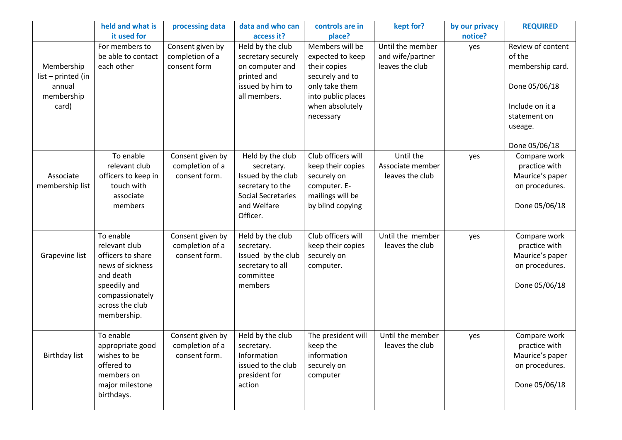|                                                                   | held and what is<br>it used for                                                                                                                       | processing data                                      | data and who can<br>access it?                                                                                                   | controls are in<br>place?                                                                                                                      | kept for?                                               | by our privacy<br>notice? | <b>REQUIRED</b>                                                                                                                 |
|-------------------------------------------------------------------|-------------------------------------------------------------------------------------------------------------------------------------------------------|------------------------------------------------------|----------------------------------------------------------------------------------------------------------------------------------|------------------------------------------------------------------------------------------------------------------------------------------------|---------------------------------------------------------|---------------------------|---------------------------------------------------------------------------------------------------------------------------------|
| Membership<br>list - printed (in<br>annual<br>membership<br>card) | For members to<br>be able to contact<br>each other                                                                                                    | Consent given by<br>completion of a<br>consent form  | Held by the club<br>secretary securely<br>on computer and<br>printed and<br>issued by him to<br>all members.                     | Members will be<br>expected to keep<br>their copies<br>securely and to<br>only take them<br>into public places<br>when absolutely<br>necessary | Until the member<br>and wife/partner<br>leaves the club | yes                       | Review of content<br>of the<br>membership card.<br>Done 05/06/18<br>Include on it a<br>statement on<br>useage.<br>Done 05/06/18 |
| Associate<br>membership list                                      | To enable<br>relevant club<br>officers to keep in<br>touch with<br>associate<br>members                                                               | Consent given by<br>completion of a<br>consent form. | Held by the club<br>secretary.<br>Issued by the club<br>secretary to the<br><b>Social Secretaries</b><br>and Welfare<br>Officer. | Club officers will<br>keep their copies<br>securely on<br>computer. E-<br>mailings will be<br>by blind copying                                 | Until the<br>Associate member<br>leaves the club        | yes                       | Compare work<br>practice with<br>Maurice's paper<br>on procedures.<br>Done 05/06/18                                             |
| Grapevine list                                                    | To enable<br>relevant club<br>officers to share<br>news of sickness<br>and death<br>speedily and<br>compassionately<br>across the club<br>membership. | Consent given by<br>completion of a<br>consent form. | Held by the club<br>secretary.<br>Issued by the club<br>secretary to all<br>committee<br>members                                 | Club officers will<br>keep their copies<br>securely on<br>computer.                                                                            | Until the member<br>leaves the club                     | yes                       | Compare work<br>practice with<br>Maurice's paper<br>on procedures.<br>Done 05/06/18                                             |
| <b>Birthday list</b>                                              | To enable<br>appropriate good<br>wishes to be<br>offered to<br>members on<br>major milestone<br>birthdays.                                            | Consent given by<br>completion of a<br>consent form. | Held by the club<br>secretary.<br>Information<br>issued to the club<br>president for<br>action                                   | The president will<br>keep the<br>information<br>securely on<br>computer                                                                       | Until the member<br>leaves the club                     | yes                       | Compare work<br>practice with<br>Maurice's paper<br>on procedures.<br>Done 05/06/18                                             |